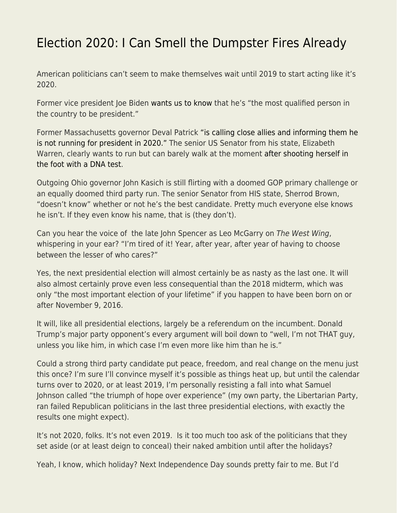## [Election 2020: I Can Smell the Dumpster Fires Already](https://everything-voluntary.com/election-2020-i-can-smell-the-dumpster-fires-already)

American politicians can't seem to make themselves wait until 2019 to start acting like it's 2020.

Former vice president Joe Biden [wants us to know](https://www.cnn.com/2018/12/04/politics/joe-biden-most-qualified-person-president-2020/index.html) that he's "the most qualified person in the country to be president."

Former Massachusetts governor Deval Patrick ["is calling close allies and informing them he](https://www.politico.com/story/2018/12/04/deval-patrick-2020-elections-decision-1045361) [is not running for president in 2020."](https://www.politico.com/story/2018/12/04/deval-patrick-2020-elections-decision-1045361) The senior US Senator from his state, Elizabeth Warren, clearly wants to run but can barely walk at the moment [after shooting herself in](https://www.nytimes.com/2018/12/06/us/politics/elizabeth-warren-dna-test-2020.html) [the foot with a DNA test.](https://www.nytimes.com/2018/12/06/us/politics/elizabeth-warren-dna-test-2020.html)

Outgoing Ohio governor John Kasich is still flirting with a doomed GOP primary challenge or an equally doomed third party run. The senior Senator from HIS state, Sherrod Brown, "doesn't know" whether or not he's the best candidate. Pretty much everyone else knows he isn't. If they even know his name, that is (they don't).

Can you hear the voice of the late John Spencer as Leo McGarry on The West Wing, whispering in your ear? "I'm tired of it! Year, after year, after year of having to choose between the lesser of who cares?"

Yes, the next presidential election will almost certainly be as nasty as the last one. It will also almost certainly prove even less consequential than the 2018 midterm, which was only "the most important election of your lifetime" if you happen to have been born on or after November 9, 2016.

It will, like all presidential elections, largely be a referendum on the incumbent. Donald Trump's major party opponent's every argument will boil down to "well, I'm not THAT guy, unless you like him, in which case I'm even more like him than he is."

Could a strong third party candidate put peace, freedom, and real change on the menu just this once? I'm sure I'll convince myself it's possible as things heat up, but until the calendar turns over to 2020, or at least 2019, I'm personally resisting a fall into what Samuel Johnson called "the triumph of hope over experience" (my own party, the Libertarian Party, ran failed Republican politicians in the last three presidential elections, with exactly the results one might expect).

It's not 2020, folks. It's not even 2019. Is it too much too ask of the politicians that they set aside (or at least deign to conceal) their naked ambition until after the holidays?

Yeah, I know, which holiday? Next Independence Day sounds pretty fair to me. But I'd